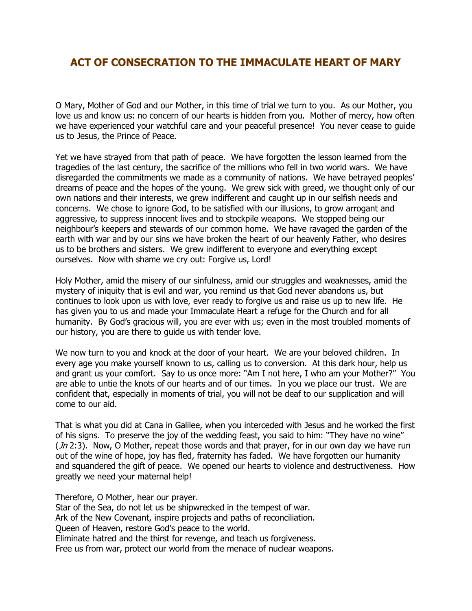## ACT OF CONSECRATION TO THE IMMACULATE HEART OF MARY

O Mary, Mother of God and our Mother, in this time of trial we turn to you. As our Mother, you love us and know us: no concern of our hearts is hidden from you. Mother of mercy, how often we have experienced your watchful care and your peaceful presence! You never cease to guide us to Jesus, the Prince of Peace.

Yet we have strayed from that path of peace. We have forgotten the lesson learned from the tragedies of the last century, the sacrifice of the millions who fell in two world wars. We have disregarded the commitments we made as a community of nations. We have betrayed peoples' dreams of peace and the hopes of the young. We grew sick with greed, we thought only of our own nations and their interests, we grew indifferent and caught up in our selfish needs and concerns. We chose to ignore God, to be satisfied with our illusions, to grow arrogant and aggressive, to suppress innocent lives and to stockpile weapons. We stopped being our neighbour's keepers and stewards of our common home. We have ravaged the garden of the earth with war and by our sins we have broken the heart of our heavenly Father, who desires us to be brothers and sisters. We grew indifferent to everyone and everything except ourselves. Now with shame we cry out: Forgive us, Lord!

Holy Mother, amid the misery of our sinfulness, amid our struggles and weaknesses, amid the mystery of iniquity that is evil and war, you remind us that God never abandons us, but continues to look upon us with love, ever ready to forgive us and raise us up to new life. He has given you to us and made your Immaculate Heart a refuge for the Church and for all humanity. By God's gracious will, you are ever with us; even in the most troubled moments of our history, you are there to guide us with tender love.

We now turn to you and knock at the door of your heart. We are your beloved children. In every age you make yourself known to us, calling us to conversion. At this dark hour, help us and grant us your comfort. Say to us once more: "Am I not here, I who am your Mother?" You are able to untie the knots of our hearts and of our times. In you we place our trust. We are confident that, especially in moments of trial, you will not be deaf to our supplication and will come to our aid.

That is what you did at Cana in Galilee, when you interceded with Jesus and he worked the first of his signs. To preserve the joy of the wedding feast, you said to him: "They have no wine"  $(Jn 2:3)$ . Now, O Mother, repeat those words and that prayer, for in our own day we have run out of the wine of hope, joy has fled, fraternity has faded. We have forgotten our humanity and squandered the gift of peace. We opened our hearts to violence and destructiveness. How greatly we need your maternal help!

Therefore, O Mother, hear our prayer.

Star of the Sea, do not let us be shipwrecked in the tempest of war. Ark of the New Covenant, inspire projects and paths of reconciliation. Queen of Heaven, restore God's peace to the world. Eliminate hatred and the thirst for revenge, and teach us forgiveness. Free us from war, protect our world from the menace of nuclear weapons.